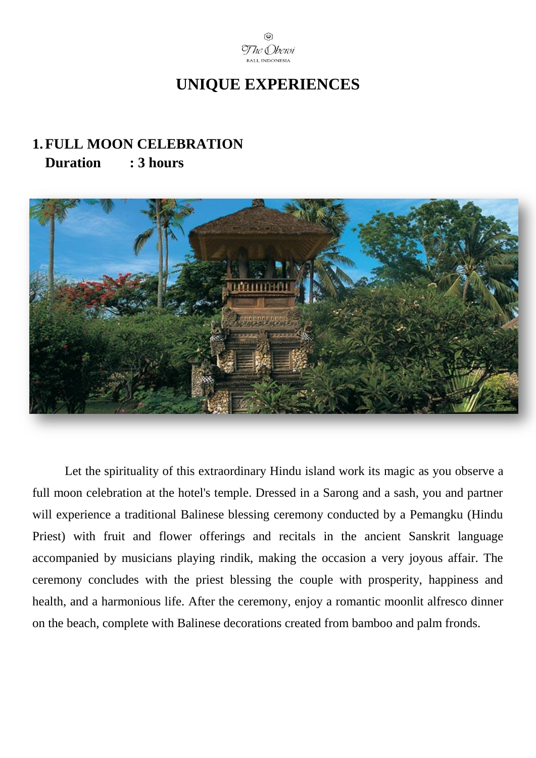

## **UNIQUE EXPERIENCES**

#### **1.FULL MOON CELEBRATION Duration : 3 hours**



Let the spirituality of this extraordinary Hindu island work its magic as you observe a full moon celebration at the hotel's temple. Dressed in a Sarong and a sash, you and partner will experience a traditional Balinese blessing ceremony conducted by a Pemangku (Hindu Priest) with fruit and flower offerings and recitals in the ancient Sanskrit language accompanied by musicians playing rindik, making the occasion a very joyous affair. The ceremony concludes with the priest blessing the couple with prosperity, happiness and health, and a harmonious life. After the ceremony, enjoy a romantic moonlit alfresco dinner on the beach, complete with Balinese decorations created from bamboo and palm fronds.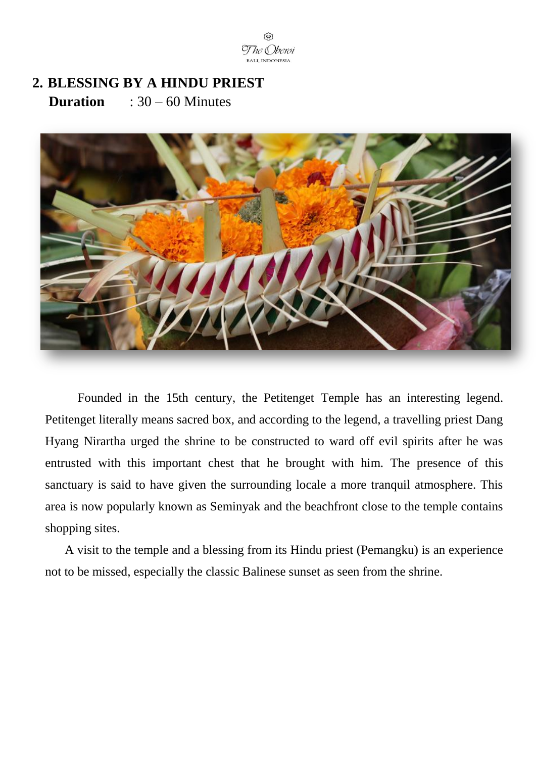

### **2. BLESSING BY A HINDU PRIEST Duration** : 30 – 60 Minutes



Founded in the 15th century, the Petitenget Temple has an interesting legend. Petitenget literally means sacred box, and according to the legend, a travelling priest Dang Hyang Nirartha urged the shrine to be constructed to ward off evil spirits after he was entrusted with this important chest that he brought with him. The presence of this sanctuary is said to have given the surrounding locale a more tranquil atmosphere. This area is now popularly known as Seminyak and the beachfront close to the temple contains shopping sites.

A visit to the temple and a blessing from its Hindu priest (Pemangku) is an experience not to be missed, especially the classic Balinese sunset as seen from the shrine.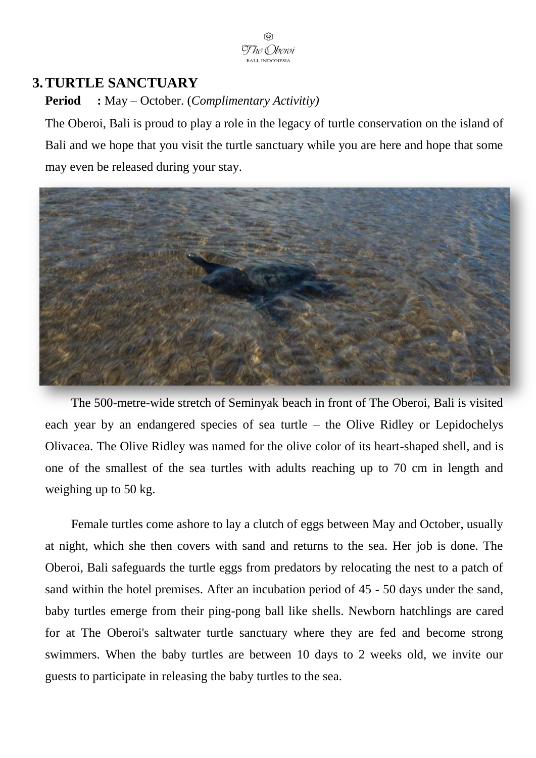

#### **3.TURTLE SANCTUARY**

**Period :** May – October. (*Complimentary Activitiy)*

The Oberoi, Bali is proud to play a role in the legacy of turtle conservation on the island of Bali and we hope that you visit the turtle sanctuary while you are here and hope that some may even be released during your stay.



The 500-metre-wide stretch of Seminyak beach in front of The Oberoi, Bali is visited each year by an endangered species of sea turtle – the Olive Ridley or Lepidochelys Olivacea. The Olive Ridley was named for the olive color of its heart-shaped shell, and is one of the smallest of the sea turtles with adults reaching up to 70 cm in length and weighing up to 50 kg.

Female turtles come ashore to lay a clutch of eggs between May and October, usually at night, which she then covers with sand and returns to the sea. Her job is done. The Oberoi, Bali safeguards the turtle eggs from predators by relocating the nest to a patch of sand within the hotel premises. After an incubation period of 45 - 50 days under the sand, baby turtles emerge from their ping-pong ball like shells. Newborn hatchlings are cared for at The Oberoi's saltwater turtle sanctuary where they are fed and become strong swimmers. When the baby turtles are between 10 days to 2 weeks old, we invite our guests to participate in releasing the baby turtles to the sea.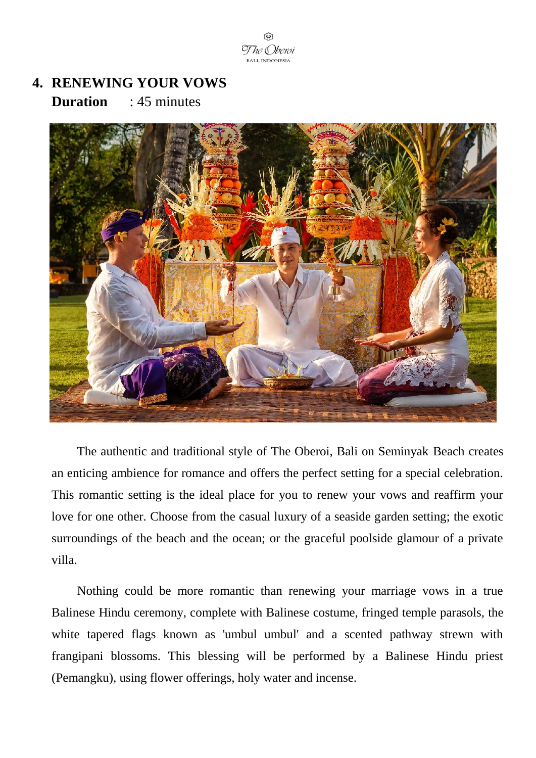The & Iberoi **BALL INDONESIA** 

## **4. RENEWING YOUR VOWS Duration** : 45 minutes



The authentic and traditional style of The Oberoi, Bali on Seminyak Beach creates an enticing ambience for romance and offers the perfect setting for a special celebration. This romantic setting is the ideal place for you to renew your vows and reaffirm your love for one other. Choose from the casual luxury of a seaside garden setting; the exotic surroundings of the beach and the ocean; or the graceful poolside glamour of a private villa.

Nothing could be more romantic than renewing your marriage vows in a true Balinese Hindu ceremony, complete with Balinese costume, fringed temple parasols, the white tapered flags known as 'umbul umbul' and a scented pathway strewn with frangipani blossoms. This blessing will be performed by a Balinese Hindu priest (Pemangku), using flower offerings, holy water and incense.